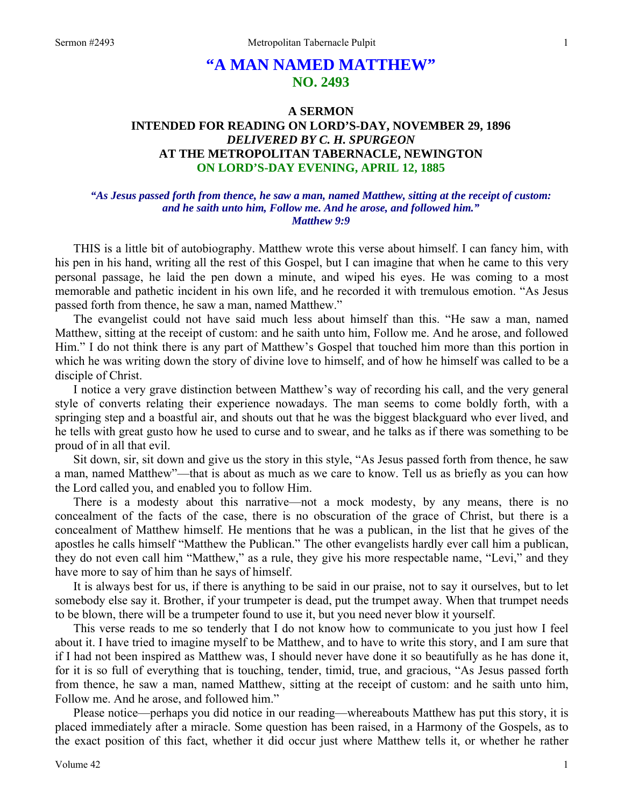# **"A MAN NAMED MATTHEW" NO. 2493**

# **A SERMON INTENDED FOR READING ON LORD'S-DAY, NOVEMBER 29, 1896**  *DELIVERED BY C. H. SPURGEON*  **AT THE METROPOLITAN TABERNACLE, NEWINGTON ON LORD'S-DAY EVENING, APRIL 12, 1885**

## *"As Jesus passed forth from thence, he saw a man, named Matthew, sitting at the receipt of custom: and he saith unto him, Follow me. And he arose, and followed him." Matthew 9:9*

THIS is a little bit of autobiography. Matthew wrote this verse about himself. I can fancy him, with his pen in his hand, writing all the rest of this Gospel, but I can imagine that when he came to this very personal passage, he laid the pen down a minute, and wiped his eyes. He was coming to a most memorable and pathetic incident in his own life, and he recorded it with tremulous emotion. "As Jesus passed forth from thence, he saw a man, named Matthew."

The evangelist could not have said much less about himself than this. "He saw a man, named Matthew, sitting at the receipt of custom: and he saith unto him, Follow me. And he arose, and followed Him." I do not think there is any part of Matthew's Gospel that touched him more than this portion in which he was writing down the story of divine love to himself, and of how he himself was called to be a disciple of Christ.

I notice a very grave distinction between Matthew's way of recording his call, and the very general style of converts relating their experience nowadays. The man seems to come boldly forth, with a springing step and a boastful air, and shouts out that he was the biggest blackguard who ever lived, and he tells with great gusto how he used to curse and to swear, and he talks as if there was something to be proud of in all that evil.

Sit down, sir, sit down and give us the story in this style, "As Jesus passed forth from thence, he saw a man, named Matthew"—that is about as much as we care to know. Tell us as briefly as you can how the Lord called you, and enabled you to follow Him.

There is a modesty about this narrative—not a mock modesty, by any means, there is no concealment of the facts of the case, there is no obscuration of the grace of Christ, but there is a concealment of Matthew himself. He mentions that he was a publican, in the list that he gives of the apostles he calls himself "Matthew the Publican." The other evangelists hardly ever call him a publican, they do not even call him "Matthew," as a rule, they give his more respectable name, "Levi," and they have more to say of him than he says of himself.

It is always best for us, if there is anything to be said in our praise, not to say it ourselves, but to let somebody else say it. Brother, if your trumpeter is dead, put the trumpet away. When that trumpet needs to be blown, there will be a trumpeter found to use it, but you need never blow it yourself.

This verse reads to me so tenderly that I do not know how to communicate to you just how I feel about it. I have tried to imagine myself to be Matthew, and to have to write this story, and I am sure that if I had not been inspired as Matthew was, I should never have done it so beautifully as he has done it, for it is so full of everything that is touching, tender, timid, true, and gracious, "As Jesus passed forth from thence, he saw a man, named Matthew, sitting at the receipt of custom: and he saith unto him, Follow me. And he arose, and followed him."

Please notice—perhaps you did notice in our reading—whereabouts Matthew has put this story, it is placed immediately after a miracle. Some question has been raised, in a Harmony of the Gospels, as to the exact position of this fact, whether it did occur just where Matthew tells it, or whether he rather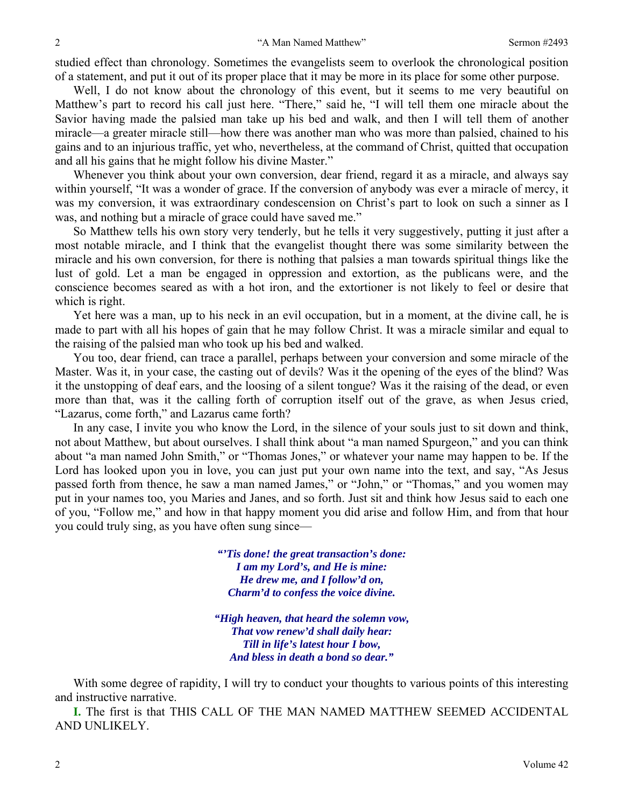studied effect than chronology. Sometimes the evangelists seem to overlook the chronological position of a statement, and put it out of its proper place that it may be more in its place for some other purpose.

Well, I do not know about the chronology of this event, but it seems to me very beautiful on Matthew's part to record his call just here. "There," said he, "I will tell them one miracle about the Savior having made the palsied man take up his bed and walk, and then I will tell them of another miracle—a greater miracle still—how there was another man who was more than palsied, chained to his gains and to an injurious traffic, yet who, nevertheless, at the command of Christ, quitted that occupation and all his gains that he might follow his divine Master."

Whenever you think about your own conversion, dear friend, regard it as a miracle, and always say within yourself, "It was a wonder of grace. If the conversion of anybody was ever a miracle of mercy, it was my conversion, it was extraordinary condescension on Christ's part to look on such a sinner as I was, and nothing but a miracle of grace could have saved me."

So Matthew tells his own story very tenderly, but he tells it very suggestively, putting it just after a most notable miracle, and I think that the evangelist thought there was some similarity between the miracle and his own conversion, for there is nothing that palsies a man towards spiritual things like the lust of gold. Let a man be engaged in oppression and extortion, as the publicans were, and the conscience becomes seared as with a hot iron, and the extortioner is not likely to feel or desire that which is right.

Yet here was a man, up to his neck in an evil occupation, but in a moment, at the divine call, he is made to part with all his hopes of gain that he may follow Christ. It was a miracle similar and equal to the raising of the palsied man who took up his bed and walked.

You too, dear friend, can trace a parallel, perhaps between your conversion and some miracle of the Master. Was it, in your case, the casting out of devils? Was it the opening of the eyes of the blind? Was it the unstopping of deaf ears, and the loosing of a silent tongue? Was it the raising of the dead, or even more than that, was it the calling forth of corruption itself out of the grave, as when Jesus cried, "Lazarus, come forth," and Lazarus came forth?

In any case, I invite you who know the Lord, in the silence of your souls just to sit down and think, not about Matthew, but about ourselves. I shall think about "a man named Spurgeon," and you can think about "a man named John Smith," or "Thomas Jones," or whatever your name may happen to be. If the Lord has looked upon you in love, you can just put your own name into the text, and say, "As Jesus passed forth from thence, he saw a man named James," or "John," or "Thomas," and you women may put in your names too, you Maries and Janes, and so forth. Just sit and think how Jesus said to each one of you, "Follow me," and how in that happy moment you did arise and follow Him, and from that hour you could truly sing, as you have often sung since—

> *"'Tis done! the great transaction's done: I am my Lord's, and He is mine: He drew me, and I follow'd on, Charm'd to confess the voice divine.*

*"High heaven, that heard the solemn vow, That vow renew'd shall daily hear: Till in life's latest hour I bow, And bless in death a bond so dear."* 

With some degree of rapidity, I will try to conduct your thoughts to various points of this interesting and instructive narrative.

**I.** The first is that THIS CALL OF THE MAN NAMED MATTHEW SEEMED ACCIDENTAL AND UNLIKELY.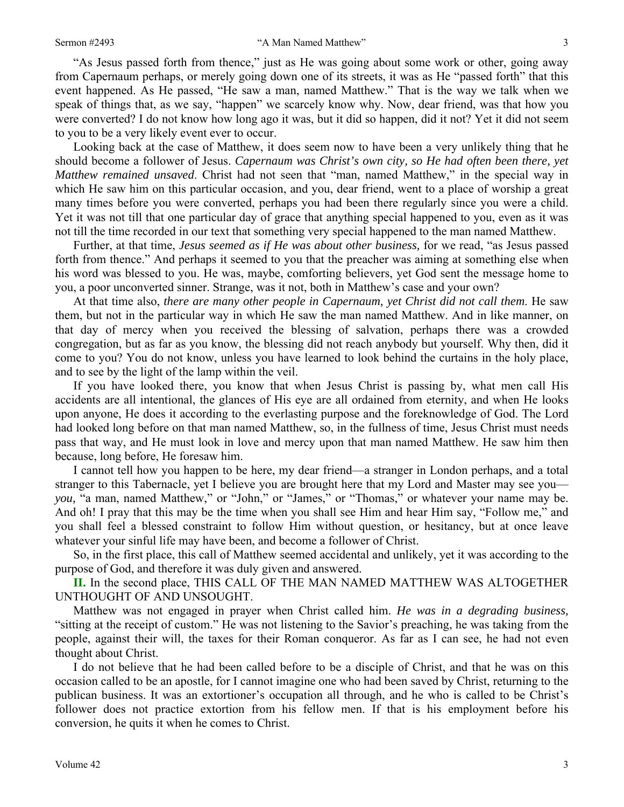"As Jesus passed forth from thence," just as He was going about some work or other, going away from Capernaum perhaps, or merely going down one of its streets, it was as He "passed forth" that this event happened. As He passed, "He saw a man, named Matthew." That is the way we talk when we speak of things that, as we say, "happen" we scarcely know why. Now, dear friend, was that how you were converted? I do not know how long ago it was, but it did so happen, did it not? Yet it did not seem to you to be a very likely event ever to occur.

Looking back at the case of Matthew, it does seem now to have been a very unlikely thing that he should become a follower of Jesus. *Capernaum was Christ's own city, so He had often been there, yet Matthew remained unsaved*. Christ had not seen that "man, named Matthew," in the special way in which He saw him on this particular occasion, and you, dear friend, went to a place of worship a great many times before you were converted, perhaps you had been there regularly since you were a child. Yet it was not till that one particular day of grace that anything special happened to you, even as it was not till the time recorded in our text that something very special happened to the man named Matthew.

Further, at that time, *Jesus seemed as if He was about other business,* for we read, "as Jesus passed forth from thence." And perhaps it seemed to you that the preacher was aiming at something else when his word was blessed to you. He was, maybe, comforting believers, yet God sent the message home to you, a poor unconverted sinner. Strange, was it not, both in Matthew's case and your own?

At that time also, *there are many other people in Capernaum, yet Christ did not call them*. He saw them, but not in the particular way in which He saw the man named Matthew. And in like manner, on that day of mercy when you received the blessing of salvation, perhaps there was a crowded congregation, but as far as you know, the blessing did not reach anybody but yourself. Why then, did it come to you? You do not know, unless you have learned to look behind the curtains in the holy place, and to see by the light of the lamp within the veil.

If you have looked there, you know that when Jesus Christ is passing by, what men call His accidents are all intentional, the glances of His eye are all ordained from eternity, and when He looks upon anyone, He does it according to the everlasting purpose and the foreknowledge of God. The Lord had looked long before on that man named Matthew, so, in the fullness of time, Jesus Christ must needs pass that way, and He must look in love and mercy upon that man named Matthew. He saw him then because, long before, He foresaw him.

I cannot tell how you happen to be here, my dear friend—a stranger in London perhaps, and a total stranger to this Tabernacle, yet I believe you are brought here that my Lord and Master may see you *you,* "a man, named Matthew," or "John," or "James," or "Thomas," or whatever your name may be. And oh! I pray that this may be the time when you shall see Him and hear Him say, "Follow me," and you shall feel a blessed constraint to follow Him without question, or hesitancy, but at once leave whatever your sinful life may have been, and become a follower of Christ.

So, in the first place, this call of Matthew seemed accidental and unlikely, yet it was according to the purpose of God, and therefore it was duly given and answered.

**II.** In the second place, THIS CALL OF THE MAN NAMED MATTHEW WAS ALTOGETHER UNTHOUGHT OF AND UNSOUGHT.

Matthew was not engaged in prayer when Christ called him. *He was in a degrading business,*  "sitting at the receipt of custom." He was not listening to the Savior's preaching, he was taking from the people, against their will, the taxes for their Roman conqueror. As far as I can see, he had not even thought about Christ.

I do not believe that he had been called before to be a disciple of Christ, and that he was on this occasion called to be an apostle, for I cannot imagine one who had been saved by Christ, returning to the publican business. It was an extortioner's occupation all through, and he who is called to be Christ's follower does not practice extortion from his fellow men. If that is his employment before his conversion, he quits it when he comes to Christ.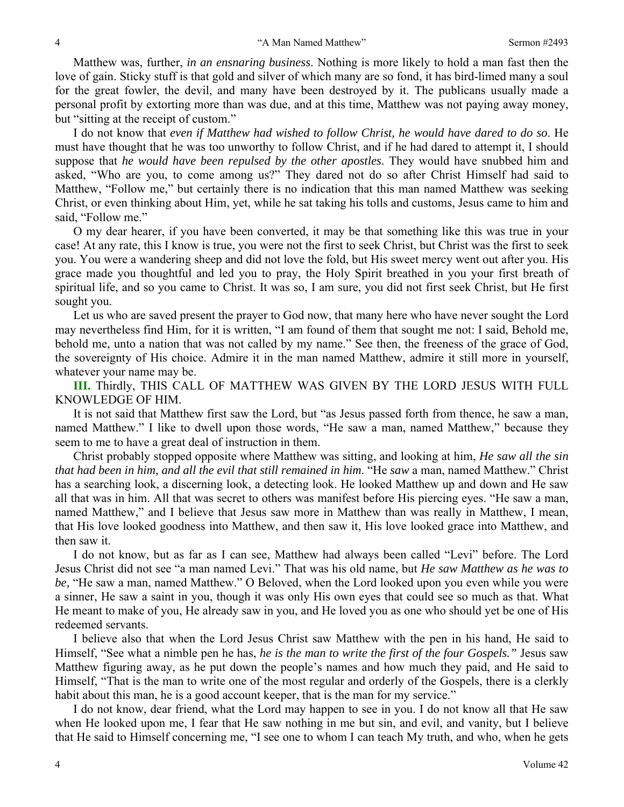Matthew was, further, *in an ensnaring business*. Nothing is more likely to hold a man fast then the love of gain. Sticky stuff is that gold and silver of which many are so fond, it has bird-limed many a soul for the great fowler, the devil, and many have been destroyed by it. The publicans usually made a personal profit by extorting more than was due, and at this time, Matthew was not paying away money, but "sitting at the receipt of custom."

I do not know that *even if Matthew had wished to follow Christ, he would have dared to do so*. He must have thought that he was too unworthy to follow Christ, and if he had dared to attempt it, I should suppose that *he would have been repulsed by the other apostles*. They would have snubbed him and asked, "Who are you, to come among us?" They dared not do so after Christ Himself had said to Matthew, "Follow me," but certainly there is no indication that this man named Matthew was seeking Christ, or even thinking about Him, yet, while he sat taking his tolls and customs, Jesus came to him and said, "Follow me."

O my dear hearer, if you have been converted, it may be that something like this was true in your case! At any rate, this I know is true, you were not the first to seek Christ, but Christ was the first to seek you. You were a wandering sheep and did not love the fold, but His sweet mercy went out after you. His grace made you thoughtful and led you to pray, the Holy Spirit breathed in you your first breath of spiritual life, and so you came to Christ. It was so, I am sure, you did not first seek Christ, but He first sought you.

Let us who are saved present the prayer to God now, that many here who have never sought the Lord may nevertheless find Him, for it is written, "I am found of them that sought me not: I said, Behold me, behold me, unto a nation that was not called by my name." See then, the freeness of the grace of God, the sovereignty of His choice. Admire it in the man named Matthew, admire it still more in yourself, whatever your name may be.

**III.** Thirdly, THIS CALL OF MATTHEW WAS GIVEN BY THE LORD JESUS WITH FULL KNOWLEDGE OF HIM.

It is not said that Matthew first saw the Lord, but "as Jesus passed forth from thence, he saw a man, named Matthew." I like to dwell upon those words, "He saw a man, named Matthew," because they seem to me to have a great deal of instruction in them.

Christ probably stopped opposite where Matthew was sitting, and looking at him, *He saw all the sin that had been in him, and all the evil that still remained in him*. "He *saw* a man, named Matthew." Christ has a searching look, a discerning look, a detecting look. He looked Matthew up and down and He saw all that was in him. All that was secret to others was manifest before His piercing eyes. "He saw a man, named Matthew," and I believe that Jesus saw more in Matthew than was really in Matthew, I mean, that His love looked goodness into Matthew, and then saw it, His love looked grace into Matthew, and then saw it.

I do not know, but as far as I can see, Matthew had always been called "Levi" before. The Lord Jesus Christ did not see "a man named Levi." That was his old name, but *He saw Matthew as he was to be,* "He saw a man, named Matthew." O Beloved, when the Lord looked upon you even while you were a sinner, He saw a saint in you, though it was only His own eyes that could see so much as that. What He meant to make of you, He already saw in you, and He loved you as one who should yet be one of His redeemed servants.

I believe also that when the Lord Jesus Christ saw Matthew with the pen in his hand, He said to Himself, "See what a nimble pen he has, *he is the man to write the first of the four Gospels."* Jesus saw Matthew figuring away, as he put down the people's names and how much they paid, and He said to Himself, "That is the man to write one of the most regular and orderly of the Gospels, there is a clerkly habit about this man, he is a good account keeper, that is the man for my service."

I do not know, dear friend, what the Lord may happen to see in you. I do not know all that He saw when He looked upon me, I fear that He saw nothing in me but sin, and evil, and vanity, but I believe that He said to Himself concerning me, "I see one to whom I can teach My truth, and who, when he gets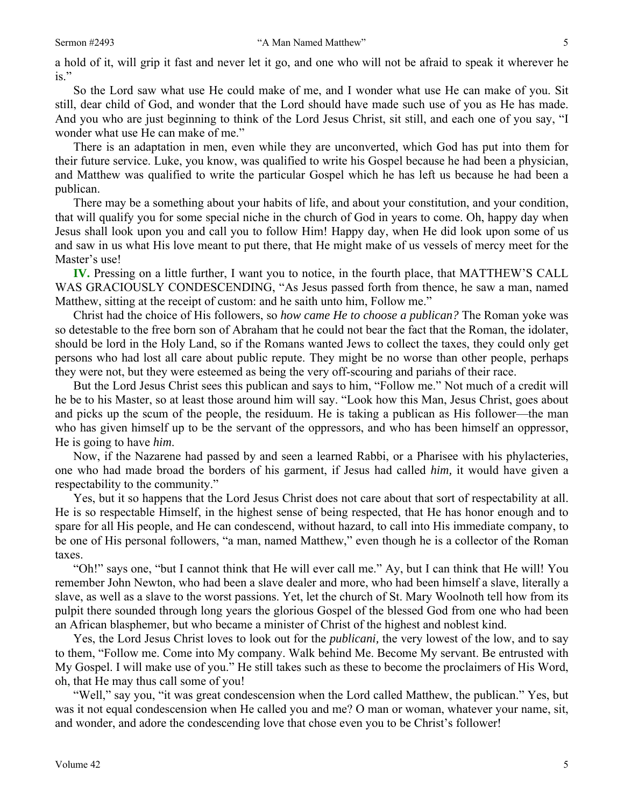a hold of it, will grip it fast and never let it go, and one who will not be afraid to speak it wherever he  $i_s$ ."

So the Lord saw what use He could make of me, and I wonder what use He can make of you. Sit still, dear child of God, and wonder that the Lord should have made such use of you as He has made. And you who are just beginning to think of the Lord Jesus Christ, sit still, and each one of you say, "I wonder what use He can make of me."

There is an adaptation in men, even while they are unconverted, which God has put into them for their future service. Luke, you know, was qualified to write his Gospel because he had been a physician, and Matthew was qualified to write the particular Gospel which he has left us because he had been a publican.

There may be a something about your habits of life, and about your constitution, and your condition, that will qualify you for some special niche in the church of God in years to come. Oh, happy day when Jesus shall look upon you and call you to follow Him! Happy day, when He did look upon some of us and saw in us what His love meant to put there, that He might make of us vessels of mercy meet for the Master's use!

**IV.** Pressing on a little further, I want you to notice, in the fourth place, that MATTHEW'S CALL WAS GRACIOUSLY CONDESCENDING, "As Jesus passed forth from thence, he saw a man, named Matthew, sitting at the receipt of custom: and he saith unto him, Follow me."

Christ had the choice of His followers, so *how came He to choose a publican?* The Roman yoke was so detestable to the free born son of Abraham that he could not bear the fact that the Roman, the idolater, should be lord in the Holy Land, so if the Romans wanted Jews to collect the taxes, they could only get persons who had lost all care about public repute. They might be no worse than other people, perhaps they were not, but they were esteemed as being the very off-scouring and pariahs of their race.

But the Lord Jesus Christ sees this publican and says to him, "Follow me." Not much of a credit will he be to his Master, so at least those around him will say. "Look how this Man, Jesus Christ, goes about and picks up the scum of the people, the residuum. He is taking a publican as His follower—the man who has given himself up to be the servant of the oppressors, and who has been himself an oppressor, He is going to have *him*.

Now, if the Nazarene had passed by and seen a learned Rabbi, or a Pharisee with his phylacteries, one who had made broad the borders of his garment, if Jesus had called *him,* it would have given a respectability to the community."

Yes, but it so happens that the Lord Jesus Christ does not care about that sort of respectability at all. He is so respectable Himself, in the highest sense of being respected, that He has honor enough and to spare for all His people, and He can condescend, without hazard, to call into His immediate company, to be one of His personal followers, "a man, named Matthew," even though he is a collector of the Roman taxes.

"Oh!" says one, "but I cannot think that He will ever call me." Ay, but I can think that He will! You remember John Newton, who had been a slave dealer and more, who had been himself a slave, literally a slave, as well as a slave to the worst passions. Yet, let the church of St. Mary Woolnoth tell how from its pulpit there sounded through long years the glorious Gospel of the blessed God from one who had been an African blasphemer, but who became a minister of Christ of the highest and noblest kind.

Yes, the Lord Jesus Christ loves to look out for the *publicani,* the very lowest of the low, and to say to them, "Follow me. Come into My company. Walk behind Me. Become My servant. Be entrusted with My Gospel. I will make use of you." He still takes such as these to become the proclaimers of His Word, oh, that He may thus call some of you!

"Well," say you, "it was great condescension when the Lord called Matthew, the publican." Yes, but was it not equal condescension when He called you and me? O man or woman, whatever your name, sit, and wonder, and adore the condescending love that chose even you to be Christ's follower!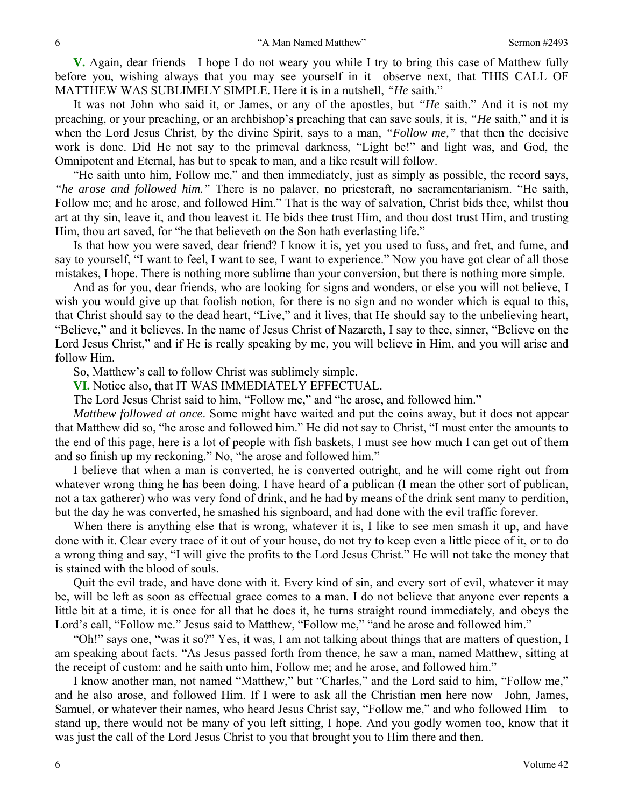**V.** Again, dear friends—I hope I do not weary you while I try to bring this case of Matthew fully before you, wishing always that you may see yourself in it—observe next, that THIS CALL OF MATTHEW WAS SUBLIMELY SIMPLE. Here it is in a nutshell, *"He* saith."

It was not John who said it, or James, or any of the apostles, but *"He* saith." And it is not my preaching, or your preaching, or an archbishop's preaching that can save souls, it is, *"He* saith," and it is when the Lord Jesus Christ, by the divine Spirit, says to a man, *"Follow me,"* that then the decisive work is done. Did He not say to the primeval darkness, "Light be!" and light was, and God, the Omnipotent and Eternal, has but to speak to man, and a like result will follow.

"He saith unto him, Follow me," and then immediately, just as simply as possible, the record says, *"he arose and followed him."* There is no palaver, no priestcraft, no sacramentarianism. "He saith, Follow me; and he arose, and followed Him." That is the way of salvation, Christ bids thee, whilst thou art at thy sin, leave it, and thou leavest it. He bids thee trust Him, and thou dost trust Him, and trusting Him, thou art saved, for "he that believeth on the Son hath everlasting life."

Is that how you were saved, dear friend? I know it is, yet you used to fuss, and fret, and fume, and say to yourself, "I want to feel, I want to see, I want to experience." Now you have got clear of all those mistakes, I hope. There is nothing more sublime than your conversion, but there is nothing more simple.

And as for you, dear friends, who are looking for signs and wonders, or else you will not believe, I wish you would give up that foolish notion, for there is no sign and no wonder which is equal to this, that Christ should say to the dead heart, "Live," and it lives, that He should say to the unbelieving heart, "Believe," and it believes. In the name of Jesus Christ of Nazareth, I say to thee, sinner, "Believe on the Lord Jesus Christ," and if He is really speaking by me, you will believe in Him, and you will arise and follow Him.

So, Matthew's call to follow Christ was sublimely simple.

**VI.** Notice also, that IT WAS IMMEDIATELY EFFECTUAL.

The Lord Jesus Christ said to him, "Follow me," and "he arose, and followed him."

*Matthew followed at once*. Some might have waited and put the coins away, but it does not appear that Matthew did so, "he arose and followed him." He did not say to Christ, "I must enter the amounts to the end of this page, here is a lot of people with fish baskets, I must see how much I can get out of them and so finish up my reckoning." No, "he arose and followed him."

I believe that when a man is converted, he is converted outright, and he will come right out from whatever wrong thing he has been doing. I have heard of a publican (I mean the other sort of publican, not a tax gatherer) who was very fond of drink, and he had by means of the drink sent many to perdition, but the day he was converted, he smashed his signboard, and had done with the evil traffic forever.

When there is anything else that is wrong, whatever it is, I like to see men smash it up, and have done with it. Clear every trace of it out of your house, do not try to keep even a little piece of it, or to do a wrong thing and say, "I will give the profits to the Lord Jesus Christ." He will not take the money that is stained with the blood of souls.

Quit the evil trade, and have done with it. Every kind of sin, and every sort of evil, whatever it may be, will be left as soon as effectual grace comes to a man. I do not believe that anyone ever repents a little bit at a time, it is once for all that he does it, he turns straight round immediately, and obeys the Lord's call, "Follow me." Jesus said to Matthew, "Follow me," "and he arose and followed him."

"Oh!" says one, "was it so?" Yes, it was, I am not talking about things that are matters of question, I am speaking about facts. "As Jesus passed forth from thence, he saw a man, named Matthew, sitting at the receipt of custom: and he saith unto him, Follow me; and he arose, and followed him."

I know another man, not named "Matthew," but "Charles," and the Lord said to him, "Follow me," and he also arose, and followed Him. If I were to ask all the Christian men here now—John, James, Samuel, or whatever their names, who heard Jesus Christ say, "Follow me," and who followed Him—to stand up, there would not be many of you left sitting, I hope. And you godly women too, know that it was just the call of the Lord Jesus Christ to you that brought you to Him there and then.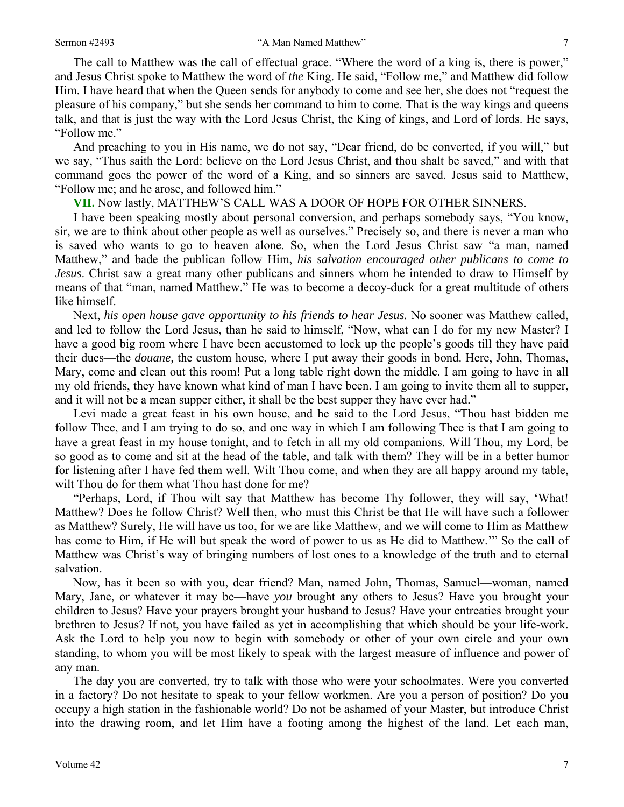The call to Matthew was the call of effectual grace. "Where the word of a king is, there is power," and Jesus Christ spoke to Matthew the word of *the* King. He said, "Follow me," and Matthew did follow Him. I have heard that when the Queen sends for anybody to come and see her, she does not "request the pleasure of his company," but she sends her command to him to come. That is the way kings and queens talk, and that is just the way with the Lord Jesus Christ, the King of kings, and Lord of lords. He says, "Follow me."

And preaching to you in His name, we do not say, "Dear friend, do be converted, if you will," but we say, "Thus saith the Lord: believe on the Lord Jesus Christ, and thou shalt be saved," and with that command goes the power of the word of a King, and so sinners are saved. Jesus said to Matthew, "Follow me; and he arose, and followed him."

# **VII.** Now lastly, MATTHEW'S CALL WAS A DOOR OF HOPE FOR OTHER SINNERS.

I have been speaking mostly about personal conversion, and perhaps somebody says, "You know, sir, we are to think about other people as well as ourselves." Precisely so, and there is never a man who is saved who wants to go to heaven alone. So, when the Lord Jesus Christ saw "a man, named Matthew," and bade the publican follow Him, *his salvation encouraged other publicans to come to Jesus*. Christ saw a great many other publicans and sinners whom he intended to draw to Himself by means of that "man, named Matthew." He was to become a decoy-duck for a great multitude of others like himself.

Next, *his open house gave opportunity to his friends to hear Jesus.* No sooner was Matthew called, and led to follow the Lord Jesus, than he said to himself, "Now, what can I do for my new Master? I have a good big room where I have been accustomed to lock up the people's goods till they have paid their dues—the *douane,* the custom house, where I put away their goods in bond. Here, John, Thomas, Mary, come and clean out this room! Put a long table right down the middle. I am going to have in all my old friends, they have known what kind of man I have been. I am going to invite them all to supper, and it will not be a mean supper either, it shall be the best supper they have ever had."

Levi made a great feast in his own house, and he said to the Lord Jesus, "Thou hast bidden me follow Thee, and I am trying to do so, and one way in which I am following Thee is that I am going to have a great feast in my house tonight, and to fetch in all my old companions. Will Thou, my Lord, be so good as to come and sit at the head of the table, and talk with them? They will be in a better humor for listening after I have fed them well. Wilt Thou come, and when they are all happy around my table, wilt Thou do for them what Thou hast done for me?

"Perhaps, Lord, if Thou wilt say that Matthew has become Thy follower, they will say, 'What! Matthew? Does he follow Christ? Well then, who must this Christ be that He will have such a follower as Matthew? Surely, He will have us too, for we are like Matthew, and we will come to Him as Matthew has come to Him, if He will but speak the word of power to us as He did to Matthew.'" So the call of Matthew was Christ's way of bringing numbers of lost ones to a knowledge of the truth and to eternal salvation.

Now, has it been so with you, dear friend? Man, named John, Thomas, Samuel—woman, named Mary, Jane, or whatever it may be—have *you* brought any others to Jesus? Have you brought your children to Jesus? Have your prayers brought your husband to Jesus? Have your entreaties brought your brethren to Jesus? If not, you have failed as yet in accomplishing that which should be your life-work. Ask the Lord to help you now to begin with somebody or other of your own circle and your own standing, to whom you will be most likely to speak with the largest measure of influence and power of any man.

The day you are converted, try to talk with those who were your schoolmates. Were you converted in a factory? Do not hesitate to speak to your fellow workmen. Are you a person of position? Do you occupy a high station in the fashionable world? Do not be ashamed of your Master, but introduce Christ into the drawing room, and let Him have a footing among the highest of the land. Let each man,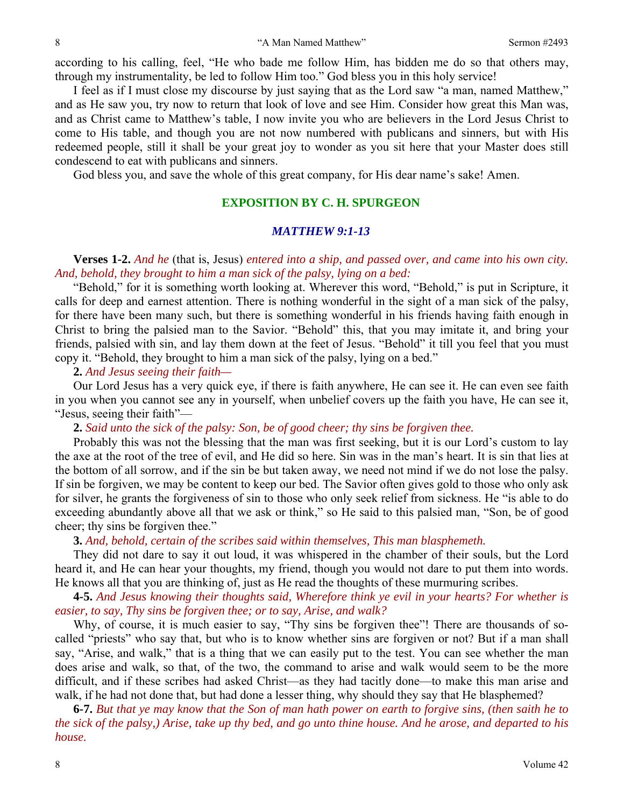according to his calling, feel, "He who bade me follow Him, has bidden me do so that others may, through my instrumentality, be led to follow Him too." God bless you in this holy service!

I feel as if I must close my discourse by just saying that as the Lord saw "a man, named Matthew," and as He saw you, try now to return that look of love and see Him. Consider how great this Man was, and as Christ came to Matthew's table, I now invite you who are believers in the Lord Jesus Christ to come to His table, and though you are not now numbered with publicans and sinners, but with His redeemed people, still it shall be your great joy to wonder as you sit here that your Master does still condescend to eat with publicans and sinners.

God bless you, and save the whole of this great company, for His dear name's sake! Amen.

## **EXPOSITION BY C. H. SPURGEON**

#### *MATTHEW 9:1-13*

## **Verses 1-2.** *And he* (that is, Jesus) *entered into a ship, and passed over, and came into his own city. And, behold, they brought to him a man sick of the palsy, lying on a bed:*

"Behold," for it is something worth looking at. Wherever this word, "Behold," is put in Scripture, it calls for deep and earnest attention. There is nothing wonderful in the sight of a man sick of the palsy, for there have been many such, but there is something wonderful in his friends having faith enough in Christ to bring the palsied man to the Savior. "Behold" this, that you may imitate it, and bring your friends, palsied with sin, and lay them down at the feet of Jesus. "Behold" it till you feel that you must copy it. "Behold, they brought to him a man sick of the palsy, lying on a bed."

#### **2.** *And Jesus seeing their faith—*

Our Lord Jesus has a very quick eye, if there is faith anywhere, He can see it. He can even see faith in you when you cannot see any in yourself, when unbelief covers up the faith you have, He can see it, "Jesus, seeing their faith"—

#### **2.** *Said unto the sick of the palsy: Son, be of good cheer; thy sins be forgiven thee.*

Probably this was not the blessing that the man was first seeking, but it is our Lord's custom to lay the axe at the root of the tree of evil, and He did so here. Sin was in the man's heart. It is sin that lies at the bottom of all sorrow, and if the sin be but taken away, we need not mind if we do not lose the palsy. If sin be forgiven, we may be content to keep our bed. The Savior often gives gold to those who only ask for silver, he grants the forgiveness of sin to those who only seek relief from sickness. He "is able to do exceeding abundantly above all that we ask or think," so He said to this palsied man, "Son, be of good cheer; thy sins be forgiven thee."

#### **3.** *And, behold, certain of the scribes said within themselves, This man blasphemeth.*

They did not dare to say it out loud, it was whispered in the chamber of their souls, but the Lord heard it, and He can hear your thoughts, my friend, though you would not dare to put them into words. He knows all that you are thinking of, just as He read the thoughts of these murmuring scribes.

# **4-5.** *And Jesus knowing their thoughts said, Wherefore think ye evil in your hearts? For whether is easier, to say, Thy sins be forgiven thee; or to say, Arise, and walk?*

Why, of course, it is much easier to say, "Thy sins be forgiven thee"! There are thousands of socalled "priests" who say that, but who is to know whether sins are forgiven or not? But if a man shall say, "Arise, and walk," that is a thing that we can easily put to the test. You can see whether the man does arise and walk, so that, of the two, the command to arise and walk would seem to be the more difficult, and if these scribes had asked Christ—as they had tacitly done—to make this man arise and walk, if he had not done that, but had done a lesser thing, why should they say that He blasphemed?

**6-7.** *But that ye may know that the Son of man hath power on earth to forgive sins, (then saith he to the sick of the palsy,) Arise, take up thy bed, and go unto thine house. And he arose, and departed to his house.*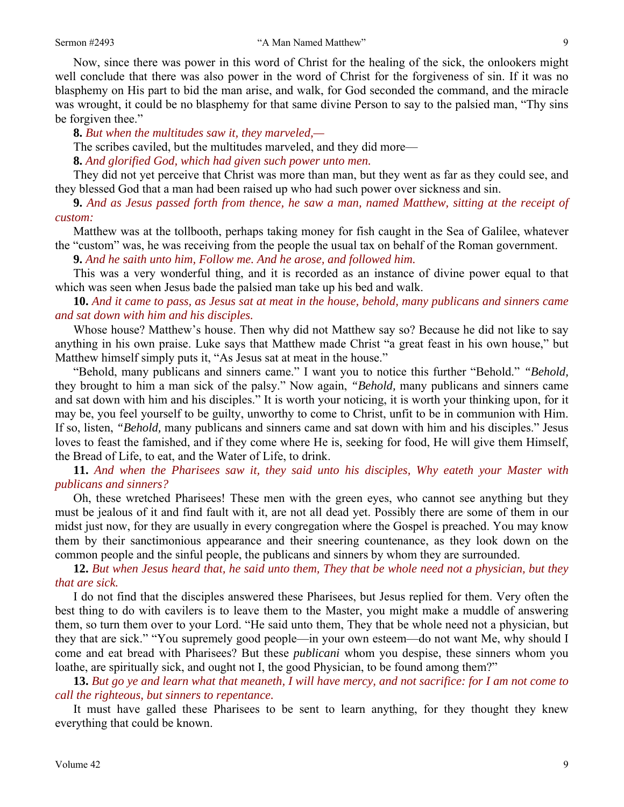Now, since there was power in this word of Christ for the healing of the sick, the onlookers might well conclude that there was also power in the word of Christ for the forgiveness of sin. If it was no blasphemy on His part to bid the man arise, and walk, for God seconded the command, and the miracle was wrought, it could be no blasphemy for that same divine Person to say to the palsied man, "Thy sins be forgiven thee."

**8.** *But when the multitudes saw it, they marveled,—* 

The scribes caviled, but the multitudes marveled, and they did more—

**8.** *And glorified God, which had given such power unto men.* 

They did not yet perceive that Christ was more than man, but they went as far as they could see, and they blessed God that a man had been raised up who had such power over sickness and sin.

**9.** *And as Jesus passed forth from thence, he saw a man, named Matthew, sitting at the receipt of custom:* 

Matthew was at the tollbooth, perhaps taking money for fish caught in the Sea of Galilee, whatever the "custom" was, he was receiving from the people the usual tax on behalf of the Roman government.

**9.** *And he saith unto him, Follow me. And he arose, and followed him.* 

This was a very wonderful thing, and it is recorded as an instance of divine power equal to that which was seen when Jesus bade the palsied man take up his bed and walk.

**10.** *And it came to pass, as Jesus sat at meat in the house, behold, many publicans and sinners came and sat down with him and his disciples.* 

Whose house? Matthew's house. Then why did not Matthew say so? Because he did not like to say anything in his own praise. Luke says that Matthew made Christ "a great feast in his own house," but Matthew himself simply puts it, "As Jesus sat at meat in the house."

"Behold, many publicans and sinners came." I want you to notice this further "Behold." *"Behold,* they brought to him a man sick of the palsy." Now again, *"Behold,* many publicans and sinners came and sat down with him and his disciples." It is worth your noticing, it is worth your thinking upon, for it may be, you feel yourself to be guilty, unworthy to come to Christ, unfit to be in communion with Him. If so, listen, *"Behold,* many publicans and sinners came and sat down with him and his disciples." Jesus loves to feast the famished, and if they come where He is, seeking for food, He will give them Himself, the Bread of Life, to eat, and the Water of Life, to drink.

**11.** *And when the Pharisees saw it, they said unto his disciples, Why eateth your Master with publicans and sinners?* 

Oh, these wretched Pharisees! These men with the green eyes, who cannot see anything but they must be jealous of it and find fault with it, are not all dead yet. Possibly there are some of them in our midst just now, for they are usually in every congregation where the Gospel is preached. You may know them by their sanctimonious appearance and their sneering countenance, as they look down on the common people and the sinful people, the publicans and sinners by whom they are surrounded.

**12.** *But when Jesus heard that, he said unto them, They that be whole need not a physician, but they that are sick.* 

I do not find that the disciples answered these Pharisees, but Jesus replied for them. Very often the best thing to do with cavilers is to leave them to the Master, you might make a muddle of answering them, so turn them over to your Lord. "He said unto them, They that be whole need not a physician, but they that are sick." "You supremely good people—in your own esteem—do not want Me, why should I come and eat bread with Pharisees? But these *publicani* whom you despise, these sinners whom you loathe, are spiritually sick, and ought not I, the good Physician, to be found among them?"

**13.** *But go ye and learn what that meaneth, I will have mercy, and not sacrifice: for I am not come to call the righteous, but sinners to repentance.* 

It must have galled these Pharisees to be sent to learn anything, for they thought they knew everything that could be known.